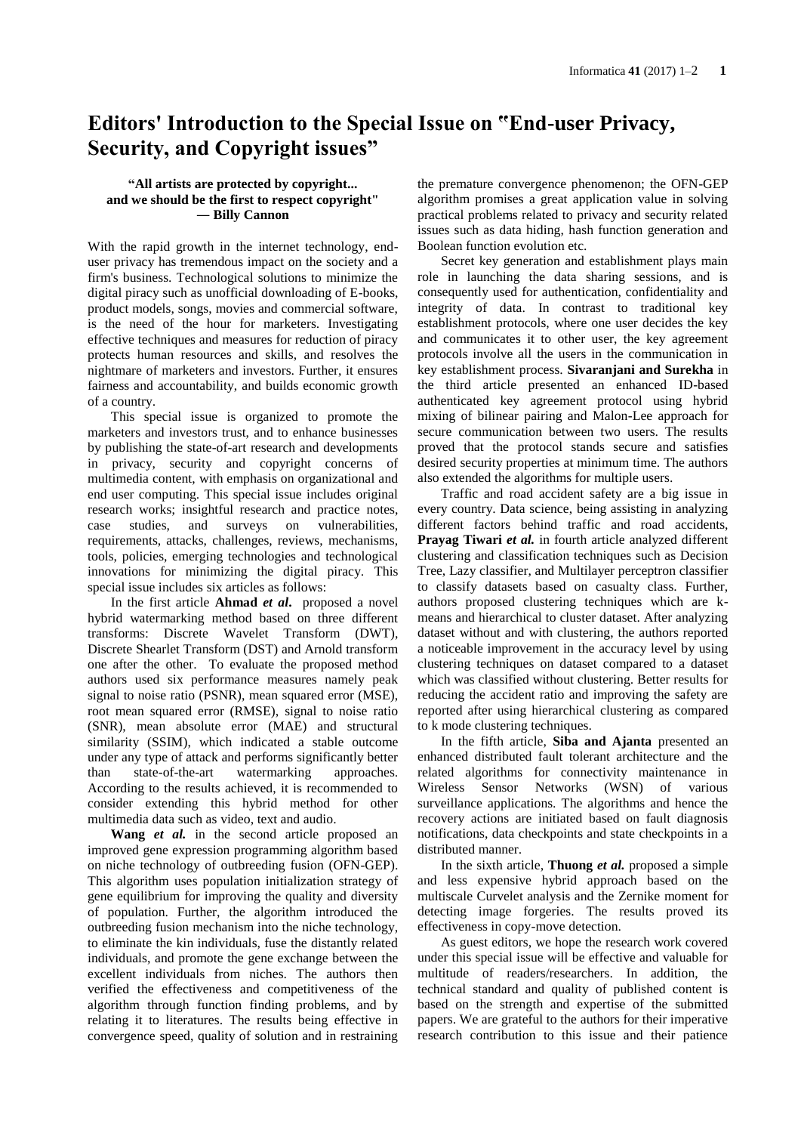## **Editors' Introduction to the Special Issue on "End-user Privacy, Security, and Copyright issues"**

## **"All artists are protected by copyright... and we should be the first to respect copyright" ― [Billy Cannon](http://www.goodreads.com/author/show/7855.Jim_Morrison)**

With the rapid growth in the internet technology, enduser privacy has tremendous impact on the society and a firm's business. Technological solutions to minimize the digital piracy such as unofficial downloading of E-books, product models, songs, movies and commercial software, is the need of the hour for marketers. Investigating effective techniques and measures for reduction of piracy protects human resources and skills, and resolves the nightmare of marketers and investors. Further, it ensures fairness and accountability, and builds economic growth of a country.

This special issue is organized to promote the marketers and investors trust, and to enhance businesses by publishing the state-of-art research and developments in privacy, security and copyright concerns of multimedia content, with emphasis on organizational and end user computing. This special issue includes original research works; insightful research and practice notes, case studies, and surveys on vulnerabilities, requirements, attacks, challenges, reviews, mechanisms, tools, policies, emerging technologies and technological innovations for minimizing the digital piracy. This special issue includes six articles as follows:

In the first article **Ahmad** *et al***.** proposed a novel hybrid watermarking method based on three different transforms: Discrete Wavelet Transform (DWT), Discrete Shearlet Transform (DST) and Arnold transform one after the other. To evaluate the proposed method authors used six performance measures namely peak signal to noise ratio (PSNR), mean squared error (MSE), root mean squared error (RMSE), signal to noise ratio (SNR), mean absolute error (MAE) and structural similarity (SSIM), which indicated a stable outcome under any type of attack and performs significantly better than state-of-the-art watermarking approaches. According to the results achieved, it is recommended to consider extending this hybrid method for other multimedia data such as video, text and audio.

**Wang** *et al.* in the second article proposed an improved gene expression programming algorithm based on niche technology of outbreeding fusion (OFN-GEP). This algorithm uses population initialization strategy of gene equilibrium for improving the quality and diversity of population. Further, the algorithm introduced the outbreeding fusion mechanism into the niche technology, to eliminate the kin individuals, fuse the distantly related individuals, and promote the gene exchange between the excellent individuals from niches. The authors then verified the effectiveness and competitiveness of the algorithm through function finding problems, and by relating it to literatures. The results being effective in convergence speed, quality of solution and in restraining

the premature convergence phenomenon; the OFN-GEP algorithm promises a great application value in solving practical problems related to privacy and security related issues such as data hiding, hash function generation and Boolean function evolution etc.

Secret key generation and establishment plays main role in launching the data sharing sessions, and is consequently used for authentication, confidentiality and integrity of data. In contrast to traditional key establishment protocols, where one user decides the key and communicates it to other user, the key agreement protocols involve all the users in the communication in key establishment process. **Sivaranjani and Surekha** in the third article presented an enhanced ID-based authenticated key agreement protocol using hybrid mixing of bilinear pairing and Malon-Lee approach for secure communication between two users. The results proved that the protocol stands secure and satisfies desired security properties at minimum time. The authors also extended the algorithms for multiple users.

Traffic and road accident safety are a big issue in every country. Data science, being assisting in analyzing different factors behind traffic and road accidents, **[Prayag Tiwari](https://www.facebook.com/prayag.tiwari?fref=nf)** *et al.* in fourth article analyzed different clustering and classification techniques such as Decision Tree, Lazy classifier, and Multilayer perceptron classifier to classify datasets based on casualty class. Further, authors proposed clustering techniques which are kmeans and hierarchical to cluster dataset. After analyzing dataset without and with clustering, the authors reported a noticeable improvement in the accuracy level by using clustering techniques on dataset compared to a dataset which was classified without clustering. Better results for reducing the accident ratio and improving the safety are reported after using hierarchical clustering as compared to k mode clustering techniques.

In the fifth article, **Siba and Ajanta** presented an enhanced distributed fault tolerant architecture and the related algorithms for connectivity maintenance in Wireless Sensor Networks (WSN) of various surveillance applications. The algorithms and hence the recovery actions are initiated based on fault diagnosis notifications, data checkpoints and state checkpoints in a distributed manner.

In the sixth article, **Thuong** *et al.* proposed a simple and less expensive hybrid approach based on the multiscale Curvelet analysis and the Zernike moment for detecting image forgeries. The results proved its effectiveness in copy-move detection.

As guest editors, we hope the research work covered under this special issue will be effective and valuable for multitude of readers/researchers. In addition, the technical standard and quality of published content is based on the strength and expertise of the submitted papers. We are grateful to the authors for their imperative research contribution to this issue and their patience